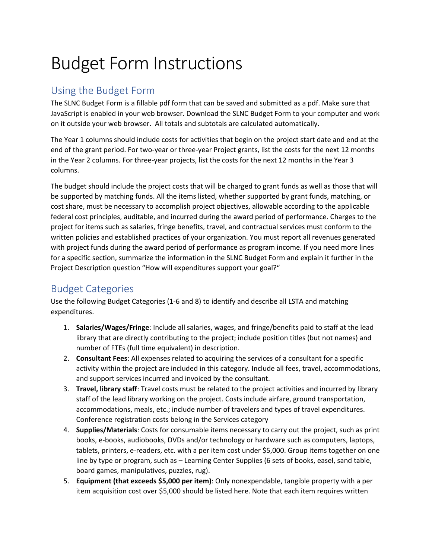## Budget Form Instructions

## Using the Budget Form

The SLNC Budget Form is a fillable pdf form that can be saved and submitted as a pdf. Make sure that JavaScript is enabled in your web browser. Download the SLNC Budget Form to your computer and work on it outside your web browser. All totals and subtotals are calculated automatically.

The Year 1 columns should include costs for activities that begin on the project start date and end at the end of the grant period. For two-year or three-year Project grants, list the costs for the next 12 months in the Year 2 columns. For three-year projects, list the costs for the next 12 months in the Year 3 columns.

The budget should include the project costs that will be charged to grant funds as well as those that will be supported by matching funds. All the items listed, whether supported by grant funds, matching, or cost share, must be necessary to accomplish project objectives, allowable according to the applicable federal cost principles, auditable, and incurred during the award period of performance. Charges to the project for items such as salaries, fringe benefits, travel, and contractual services must conform to the written policies and established practices of your organization. You must report all revenues generated with project funds during the award period of performance as program income. If you need more lines for a specific section, summarize the information in the SLNC Budget Form and explain it further in the Project Description question "How will expenditures support your goal?"

## Budget Categories

Use the following Budget Categories (1-6 and 8) to identify and describe all LSTA and matching expenditures.

- 1. **Salaries/Wages/Fringe**: Include all salaries, wages, and fringe/benefits paid to staff at the lead library that are directly contributing to the project; include position titles (but not names) and number of FTEs (full time equivalent) in description.
- 2. **Consultant Fees**: All expenses related to acquiring the services of a consultant for a specific activity within the project are included in this category. Include all fees, travel, accommodations, and support services incurred and invoiced by the consultant.
- 3. **Travel, library staff**: Travel costs must be related to the project activities and incurred by library staff of the lead library working on the project. Costs include airfare, ground transportation, accommodations, meals, etc.; include number of travelers and types of travel expenditures. Conference registration costs belong in the Services category
- 4. **Supplies/Materials**: Costs for consumable items necessary to carry out the project, such as print books, e-books, audiobooks, DVDs and/or technology or hardware such as computers, laptops, tablets, printers, e-readers, etc. with a per item cost under \$5,000. Group items together on one line by type or program, such as – Learning Center Supplies (6 sets of books, easel, sand table, board games, manipulatives, puzzles, rug).
- 5. **Equipment (that exceeds \$5,000 per item)**: Only nonexpendable, tangible property with a per item acquisition cost over \$5,000 should be listed here. Note that each item requires written